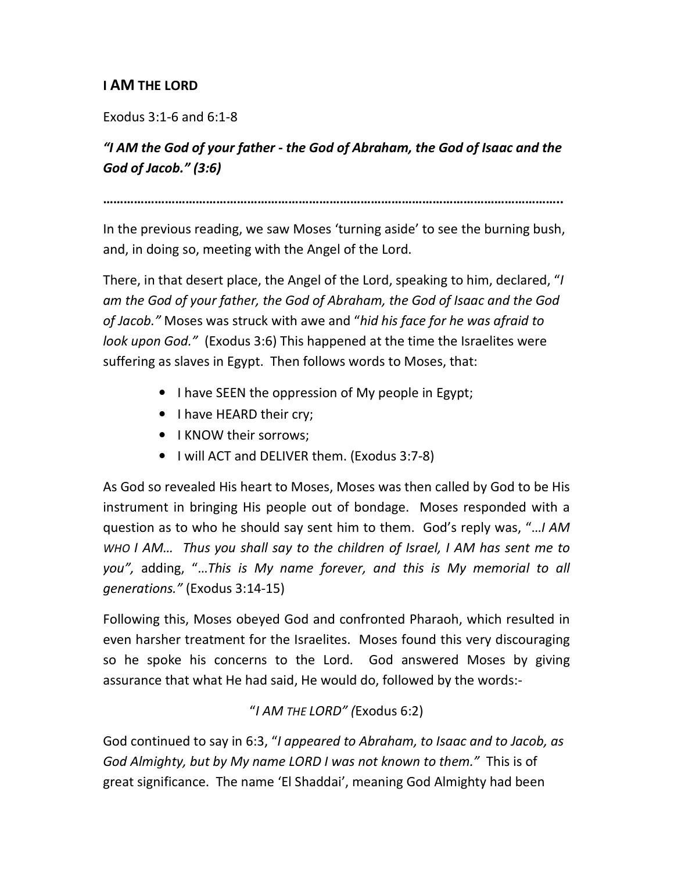## I AM THE LORD

Exodus 3:1-6 and 6:1-8

## "I AM the God of your father - the God of Abraham, the God of Isaac and the God of Jacob." (3:6)

……………………………………………………………………………………………………………………..

In the previous reading, we saw Moses 'turning aside' to see the burning bush, and, in doing so, meeting with the Angel of the Lord.

There, in that desert place, the Angel of the Lord, speaking to him, declared, "I am the God of your father, the God of Abraham, the God of Isaac and the God of Jacob." Moses was struck with awe and "hid his face for he was afraid to look upon God." (Exodus 3:6) This happened at the time the Israelites were suffering as slaves in Egypt. Then follows words to Moses, that:

- I have SEEN the oppression of My people in Egypt;
- I have HEARD their cry;
- I KNOW their sorrows;
- I will ACT and DELIVER them. (Exodus 3:7-8)

As God so revealed His heart to Moses, Moses was then called by God to be His instrument in bringing His people out of bondage. Moses responded with a question as to who he should say sent him to them. God's reply was, "…I AM WHO I AM… Thus you shall say to the children of Israel, I AM has sent me to you", adding, "…This is My name forever, and this is My memorial to all generations." (Exodus 3:14-15)

Following this, Moses obeyed God and confronted Pharaoh, which resulted in even harsher treatment for the Israelites. Moses found this very discouraging so he spoke his concerns to the Lord. God answered Moses by giving assurance that what He had said, He would do, followed by the words:-

## "I AM THE LORD" (Exodus 6:2)

God continued to say in 6:3, "I appeared to Abraham, to Isaac and to Jacob, as God Almighty, but by My name LORD I was not known to them." This is of great significance. The name 'El Shaddai', meaning God Almighty had been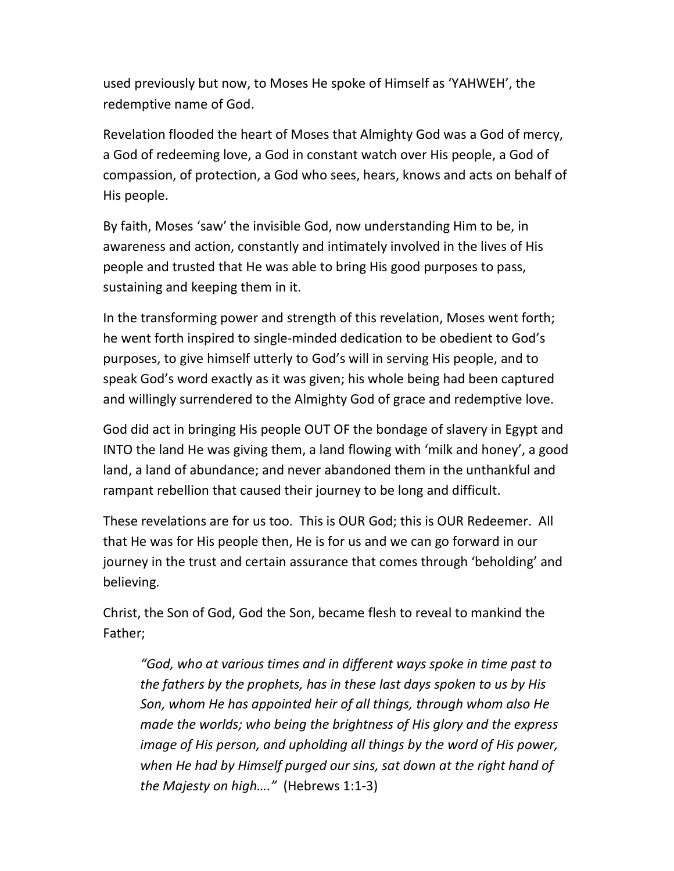used previously but now, to Moses He spoke of Himself as 'YAHWEH', the redemptive name of God.

Revelation flooded the heart of Moses that Almighty God was a God of mercy, a God of redeeming love, a God in constant watch over His people, a God of compassion, of protection, a God who sees, hears, knows and acts on behalf of His people.

By faith, Moses 'saw' the invisible God, now understanding Him to be, in awareness and action, constantly and intimately involved in the lives of His people and trusted that He was able to bring His good purposes to pass, sustaining and keeping them in it.

In the transforming power and strength of this revelation, Moses went forth; he went forth inspired to single-minded dedication to be obedient to God's purposes, to give himself utterly to God's will in serving His people, and to speak God's word exactly as it was given; his whole being had been captured and willingly surrendered to the Almighty God of grace and redemptive love.

God did act in bringing His people OUT OF the bondage of slavery in Egypt and INTO the land He was giving them, a land flowing with 'milk and honey', a good land, a land of abundance; and never abandoned them in the unthankful and rampant rebellion that caused their journey to be long and difficult.

These revelations are for us too. This is OUR God; this is OUR Redeemer. All that He was for His people then, He is for us and we can go forward in our journey in the trust and certain assurance that comes through 'beholding' and believing.

Christ, the Son of God, God the Son, became flesh to reveal to mankind the Father;

"God, who at various times and in different ways spoke in time past to the fathers by the prophets, has in these last days spoken to us by His Son, whom He has appointed heir of all things, through whom also He made the worlds; who being the brightness of His glory and the express image of His person, and upholding all things by the word of His power, when He had by Himself purged our sins, sat down at the right hand of the Majesty on high…." (Hebrews 1:1-3)